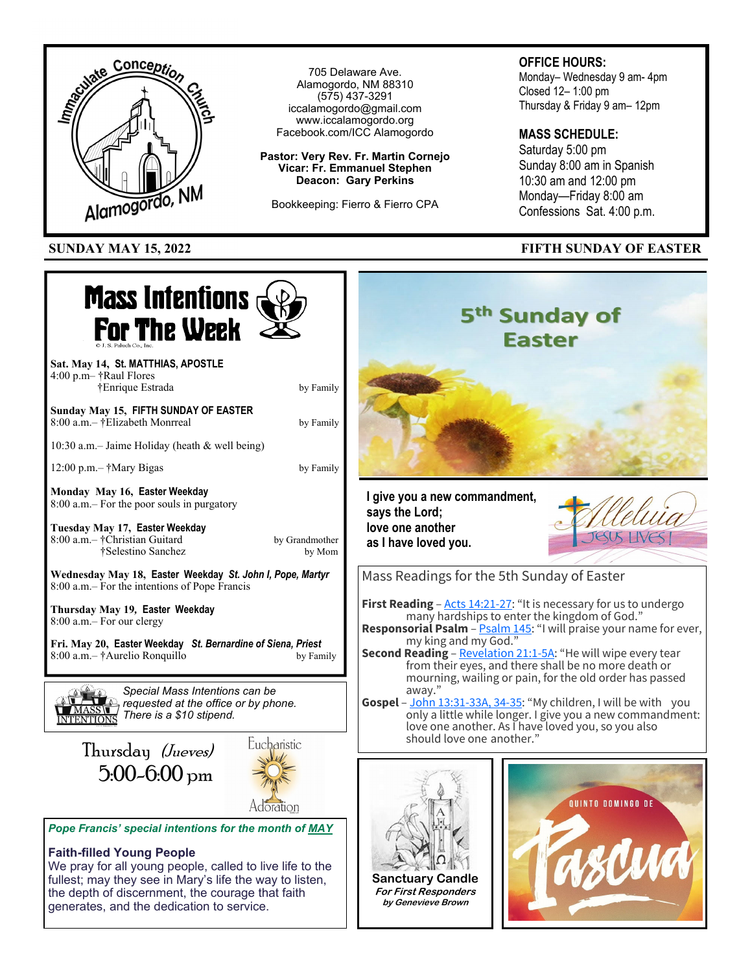

fullest; may they see in Mary's life the way to listen, the depth of discernment, the courage that faith generates, and the dedication to service.

**Sanctuary Candle For First Responders by Genevieve Brown**